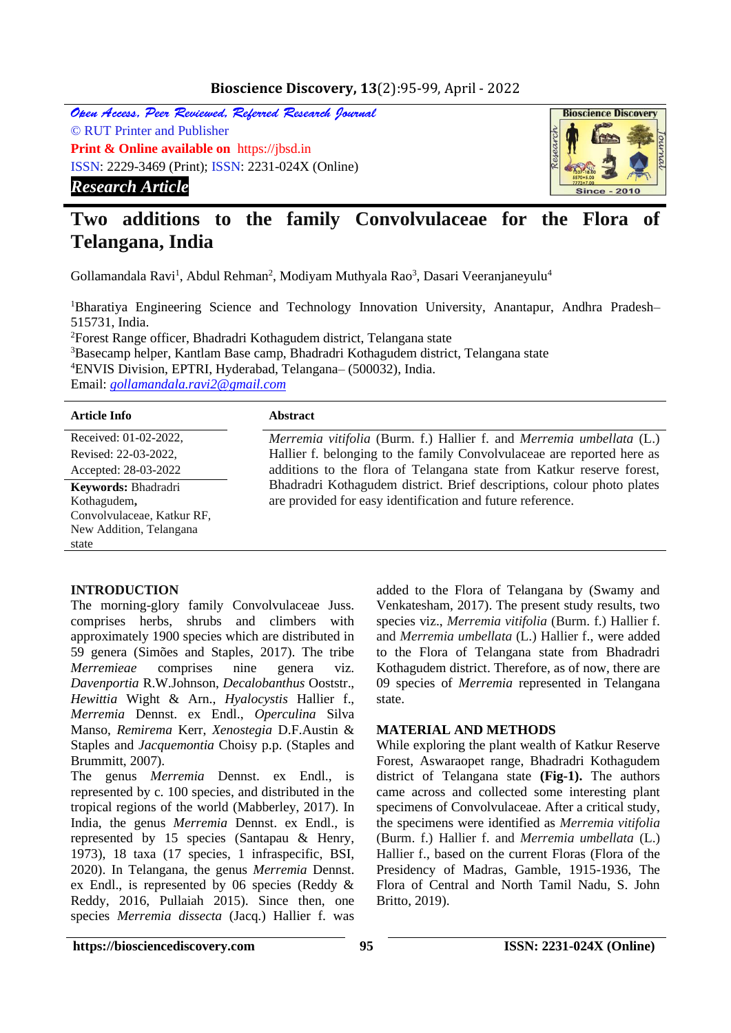# **Bioscience Discovery, 13**(2):95-99, April - 2022

Open Access, Peer Reviewed, Referred Research Journal © RUT Printer and Publisher **Print & Online available on** https://jbsd.in ISSN: 2229-3469 (Print); ISSN: 2231-024X (Online) *Research Article*



# **Two additions to the family Convolvulaceae for the Flora of Telangana, India**

Gollamandala Ravi<sup>1</sup>, Abdul Rehman<sup>2</sup>, Modiyam Muthyala Rao<sup>3</sup>, Dasari Veeranjaneyulu<sup>4</sup>

<sup>1</sup>Bharatiya Engineering Science and Technology Innovation University, Anantapur, Andhra Pradesh– 515731, India. <sup>2</sup>Forest Range officer, Bhadradri Kothagudem district, Telangana state

<sup>3</sup>Basecamp helper, Kantlam Base camp, Bhadradri Kothagudem district, Telangana state <sup>4</sup>ENVIS Division, EPTRI, Hyderabad, Telangana– (500032), India. Email: *[gollamandala.ravi2@gmail.com](mailto:gollamandala.ravi2@gmail.com)*

#### **Article Info Abstract**

Received: 01-02-2022, Revised: 22-03-2022, Accepted: 28-03-2022

**Keywords:** Bhadradri Kothagudem**,**  Convolvulaceae, Katkur RF, New Addition, Telangana state

*Merremia vitifolia* (Burm. f.) Hallier f. and *Merremia umbellata* (L.) Hallier f. belonging to the family Convolvulaceae are reported here as additions to the flora of Telangana state from Katkur reserve forest, Bhadradri Kothagudem district. Brief descriptions, colour photo plates are provided for easy identification and future reference.

#### **INTRODUCTION**

The morning-glory family Convolvulaceae Juss. comprises herbs, shrubs and climbers with approximately 1900 species which are distributed in 59 genera (Simões and Staples, 2017). The tribe *Merremieae* comprises nine genera viz. *Davenportia* R.W.Johnson, *Decalobanthus* Ooststr., *Hewittia* Wight & Arn., *Hyalocystis* Hallier f., *Merremia* Dennst. ex Endl., *Operculina* Silva Manso, *Remirema* Kerr, *Xenostegia* D.F.Austin & Staples and *Jacquemontia* Choisy p.p. (Staples and Brummitt, 2007).

The genus *Merremia* Dennst. ex Endl., is represented by c. 100 species, and distributed in the tropical regions of the world (Mabberley, 2017). In India, the genus *Merremia* Dennst. ex Endl., is represented by 15 species (Santapau & Henry, 1973), 18 taxa (17 species, 1 infraspecific, BSI, 2020). In Telangana, the genus *Merremia* Dennst. ex Endl., is represented by 06 species (Reddy & Reddy, 2016, Pullaiah 2015). Since then, one species *Merremia dissecta* (Jacq.) Hallier f. was

added to the Flora of Telangana by (Swamy and Venkatesham, 2017). The present study results, two species viz., *Merremia vitifolia* (Burm. f.) Hallier f. and *Merremia umbellata* (L.) Hallier f., were added to the Flora of Telangana state from Bhadradri Kothagudem district. Therefore, as of now, there are 09 species of *Merremia* represented in Telangana state.

## **MATERIAL AND METHODS**

While exploring the plant wealth of Katkur Reserve Forest, Aswaraopet range, Bhadradri Kothagudem district of Telangana state **(Fig-1).** The authors came across and collected some interesting plant specimens of Convolvulaceae. After a critical study, the specimens were identified as *Merremia vitifolia*  (Burm. f.) Hallier f. and *Merremia umbellata* (L.) Hallier f., based on the current Floras (Flora of the Presidency of Madras, Gamble, 1915-1936, The Flora of Central and North Tamil Nadu, S. John Britto, 2019).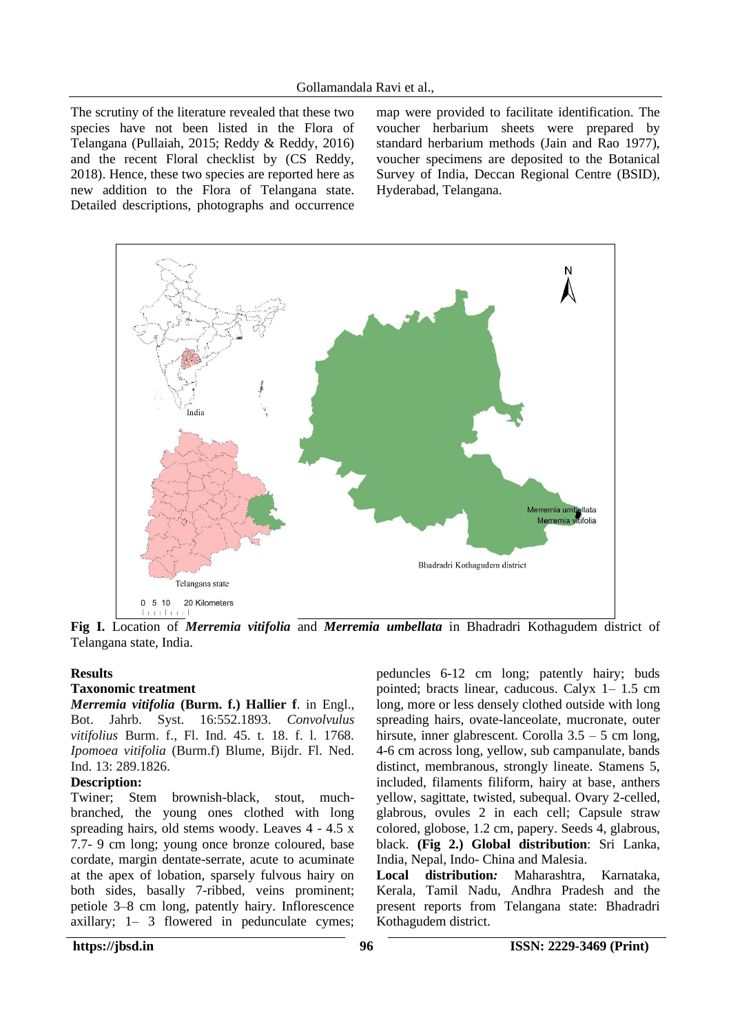The scrutiny of the literature revealed that these two species have not been listed in the Flora of Telangana (Pullaiah, 2015; Reddy & Reddy, 2016) and the recent Floral checklist by (CS Reddy, 2018). Hence, these two species are reported here as new addition to the Flora of Telangana state. Detailed descriptions, photographs and occurrence

map were provided to facilitate identification. The voucher herbarium sheets were prepared by standard herbarium methods (Jain and Rao 1977), voucher specimens are deposited to the Botanical Survey of India, Deccan Regional Centre (BSID), Hyderabad, Telangana.



**Fig I.** Location of *Merremia vitifolia* and *Merremia umbellata* in Bhadradri Kothagudem district of Telangana state, India.

#### **Results**

#### **Taxonomic treatment**

*Merremia vitifolia* **(Burm. f.) Hallier f**. in Engl., Bot. Jahrb. Syst. 16:552.1893. *Convolvulus vitifolius* Burm. f., Fl. Ind. 45. t. 18. f. l. 1768. *Ipomoea vitifolia* (Burm.f) Blume, Bijdr. Fl. Ned. Ind. 13: 289.1826.

#### **Description:**

Twiner; Stem brownish-black, stout, muchbranched, the young ones clothed with long spreading hairs, old stems woody. Leaves 4 - 4.5 x 7.7- 9 cm long; young once bronze coloured, base cordate, margin dentate-serrate, acute to acuminate at the apex of lobation, sparsely fulvous hairy on both sides, basally 7-ribbed, veins prominent; petiole 3–8 cm long, patently hairy. Inflorescence axillary; 1– 3 flowered in pedunculate cymes;

peduncles 6-12 cm long; patently hairy; buds pointed; bracts linear, caducous. Calyx 1– 1.5 cm long, more or less densely clothed outside with long spreading hairs, ovate-lanceolate, mucronate, outer hirsute, inner glabrescent. Corolla 3.5 – 5 cm long, 4-6 cm across long, yellow, sub campanulate, bands distinct, membranous, strongly lineate. Stamens 5, included, filaments filiform, hairy at base, anthers yellow, sagittate, twisted, subequal. Ovary 2-celled, glabrous, ovules 2 in each cell; Capsule straw colored, globose, 1.2 cm, papery. Seeds 4, glabrous, black. **(Fig 2.) Global distribution**: Sri Lanka, India, Nepal, Indo- China and Malesia.

**Local distribution***:* Maharashtra, Karnataka, Kerala, Tamil Nadu, Andhra Pradesh and the present reports from Telangana state: Bhadradri Kothagudem district.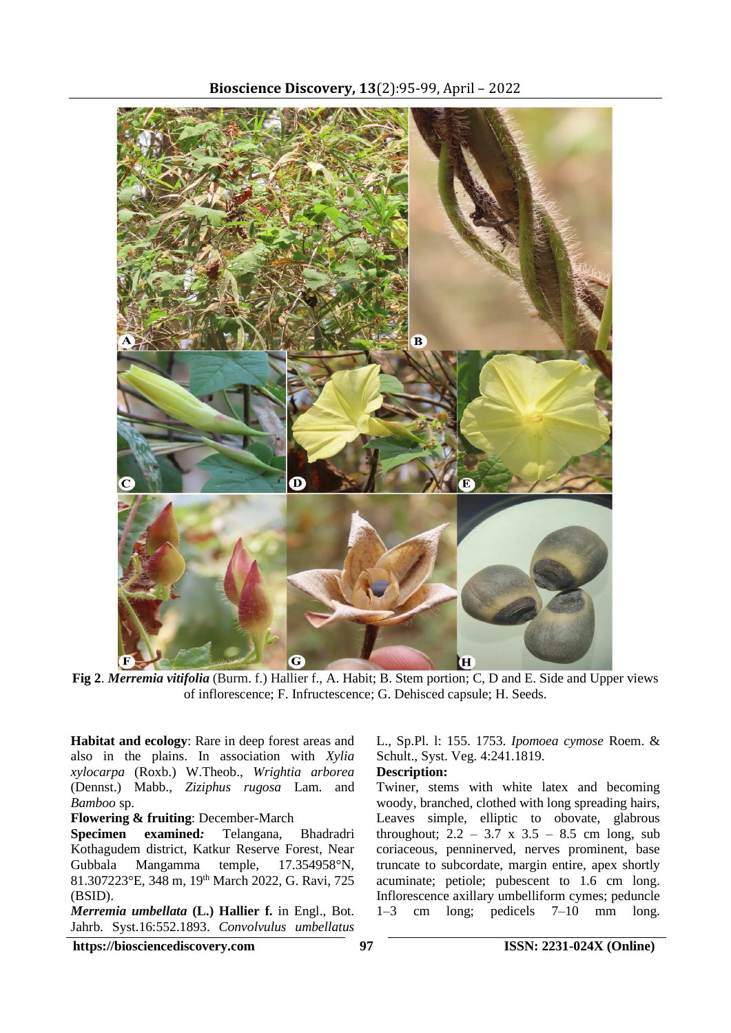

**Fig 2**. *Merremia vitifolia* (Burm. f.) Hallier f., A. Habit; B. Stem portion; C, D and E. Side and Upper views of inflorescence; F. Infructescence; G. Dehisced capsule; H. Seeds.

**Habitat and ecology**: Rare in deep forest areas and also in the plains. In association with *Xylia xylocarpa* (Roxb.) W.Theob., *Wrightia arborea* (Dennst.) Mabb., *Ziziphus rugosa* Lam. and *Bamboo* sp.

**Flowering & fruiting**: December-March

**Specimen examined***:* Telangana, Bhadradri Kothagudem district, Katkur Reserve Forest, Near Gubbala Mangamma temple, 17.354958°N, 81.307223°E, 348 m, 19th March 2022, G. Ravi, 725 (BSID).

*Merremia umbellata* **(L.) Hallier f.** in Engl., Bot. Jahrb. Syst.16:552.1893. *Convolvulus umbellatus* 

L., Sp.Pl. l: 155. 1753. *Ipomoea cymose* Roem. & Schult., Syst. Veg. 4:241.1819.

# **Description:**

Twiner, stems with white latex and becoming woody, branched, clothed with long spreading hairs, Leaves simple, elliptic to obovate, glabrous throughout;  $2.2 - 3.7 \times 3.5 - 8.5 \text{ cm}$  long, sub coriaceous, penninerved, nerves prominent, base truncate to subcordate, margin entire, apex shortly acuminate; petiole; pubescent to 1.6 cm long. Inflorescence axillary umbelliform cymes; peduncle 1–3 cm long; pedicels 7–10 mm long.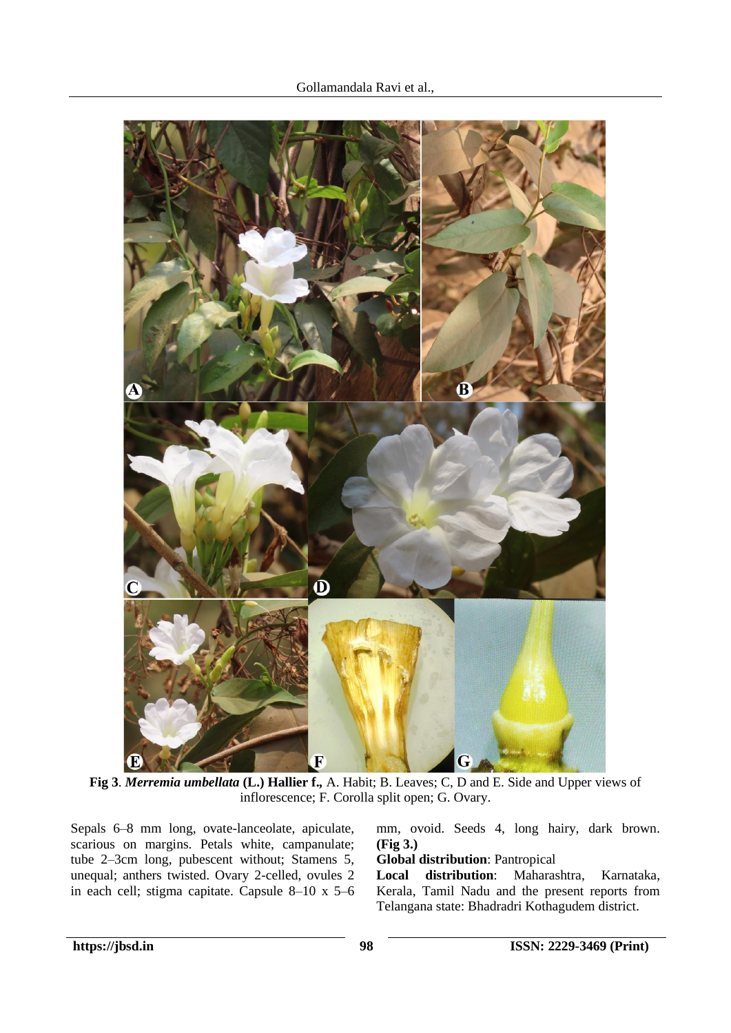

**Fig 3**. *Merremia umbellata* **(L.) Hallier f.***,* A. Habit; B. Leaves; C, D and E. Side and Upper views of inflorescence; F. Corolla split open; G. Ovary.

Sepals 6–8 mm long, ovate-lanceolate, apiculate, scarious on margins. Petals white, campanulate; tube 2–3cm long, pubescent without; Stamens 5, unequal; anthers twisted. Ovary 2-celled, ovules 2 in each cell; stigma capitate. Capsule 8–10 x 5–6 mm, ovoid. Seeds 4, long hairy, dark brown. **(Fig 3.)**

# **Global distribution**: Pantropical

**Local distribution**: Maharashtra, Karnataka, Kerala, Tamil Nadu and the present reports from Telangana state: Bhadradri Kothagudem district.